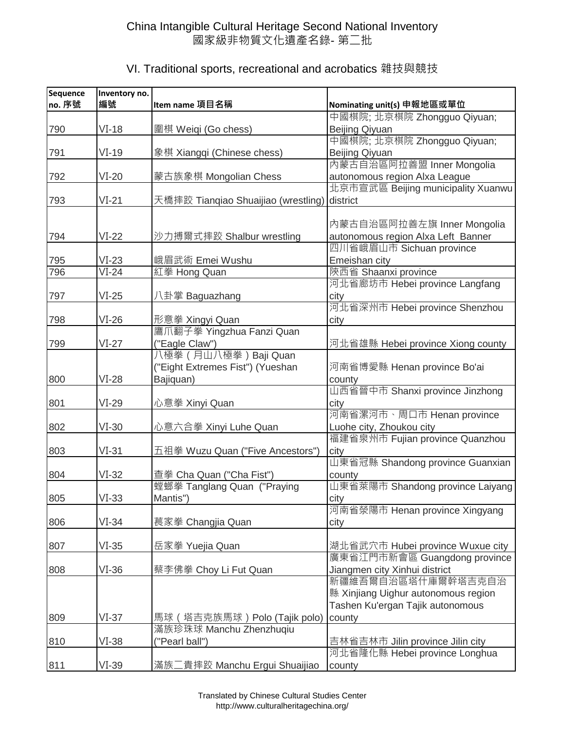| VI. Traditional sports, recreational and acrobatics 雜技與競技 |  |  |  |
|-----------------------------------------------------------|--|--|--|
|-----------------------------------------------------------|--|--|--|

| Sequence<br>no. 序號 | Inventory no.<br>編號 | Item name 項目名稱                      | Nominating unit(s) 申報地區或單位                                        |
|--------------------|---------------------|-------------------------------------|-------------------------------------------------------------------|
|                    |                     |                                     | 中國棋院; 北京棋院 Zhongguo Qiyuan;                                       |
| 790                | $VI-18$             | 圍棋 Weiqi (Go chess)                 | Beijing Qiyuan                                                    |
|                    |                     |                                     | 中國棋院; 北京棋院 Zhongguo Qiyuan;                                       |
| 791                | $VI-19$             | 象棋 Xiangqi (Chinese chess)          | Beijing Qiyuan                                                    |
|                    |                     |                                     | 內蒙古自治區阿拉善盟 Inner Mongolia                                         |
| 792                | $VI-20$             | 蒙古族象棋 Mongolian Chess               | autonomous region Alxa League                                     |
|                    |                     |                                     | 北京市宣武區 Beijing municipality Xuanwu                                |
| 793                | $VI-21$             | 天橋摔跤 Tianqiao Shuaijiao (wrestling) | district                                                          |
|                    |                     |                                     |                                                                   |
|                    |                     |                                     | 內蒙古自治區阿拉善左旗 Inner Mongolia                                        |
| 794                | $VI-22$             | 沙力搏爾式摔跤 Shalbur wrestling           | autonomous region Alxa Left Banner                                |
|                    |                     |                                     | 四川省峨眉山市 Sichuan province                                          |
| 795<br>796         | $VI-23$<br>$VI-24$  | 峨眉武術 Emei Wushu<br>紅拳 Hong Quan     | Emeishan city<br>陝西省 Shaanxi province                             |
|                    |                     |                                     | 河北省廊坊市 Hebei province Langfang                                    |
| 797                | $VI-25$             | 八卦掌 Baguazhang                      | city                                                              |
|                    |                     |                                     | 河北省深州市 Hebei province Shenzhou                                    |
| 798                | $VI-26$             | 形意拳 Xingyi Quan                     | city                                                              |
|                    |                     | 鷹爪翻子拳 Yingzhua Fanzi Quan           |                                                                   |
| 799                | $VI-27$             | ("Eagle Claw")                      | 河北省雄縣 Hebei province Xiong county                                 |
|                    |                     | 八極拳 (月山八極拳) Baji Quan               |                                                                   |
|                    |                     | ("Eight Extremes Fist") (Yueshan    | 河南省博愛縣 Henan province Bo'ai                                       |
| 800                | $VI-28$             | Bajiquan)                           | county                                                            |
|                    |                     |                                     | 山西省晉中市 Shanxi province Jinzhong                                   |
| 801                | $VI-29$             | 心意拳 Xinyi Quan                      | city                                                              |
|                    |                     |                                     | 河南省漯河市、周口市 Henan province                                         |
| 802                | $VI-30$             | 心意六合拳 Xinyi Luhe Quan               | Luohe city, Zhoukou city                                          |
|                    |                     |                                     | 福建省泉州市 Fujian province Quanzhou                                   |
| 803                | $VI-31$             | 五祖拳 Wuzu Quan ("Five Ancestors")    | city<br>山東省冠縣 Shandong province Guanxian                          |
| 804                | $VI-32$             | 查拳 Cha Quan ("Cha Fist")            | county                                                            |
|                    |                     | 螳螂拳 Tanglang Quan ("Praying         | 山東省萊陽市 Shandong province Laiyang                                  |
| 805                | $VI-33$             | Mantis")                            | city                                                              |
|                    |                     |                                     | 河南省滎陽市 Henan province Xingyang                                    |
| 806                | $VI-34$             | 萇家拳 Changjia Quan                   | city                                                              |
|                    |                     |                                     |                                                                   |
| 807                | $VI-35$             | 岳家拳 Yuejia Quan                     | 湖北省武穴市 Hubei province Wuxue city                                  |
|                    |                     |                                     | 廣東省江門市新會區 Guangdong province                                      |
| 808                | $VI-36$             | 蔡李佛拳 Choy Li Fut Quan               | Jiangmen city Xinhui district                                     |
|                    |                     |                                     | 新疆維吾爾自治區塔什庫爾幹塔吉克自治                                                |
|                    |                     |                                     | 縣 Xinjiang Uighur autonomous region                               |
|                    |                     |                                     | Tashen Ku'ergan Tajik autonomous                                  |
| 809                | $VI-37$             | 馬球 (塔吉克族馬球) Polo (Tajik polo)       | county                                                            |
|                    |                     | 滿族珍珠球 Manchu Zhenzhuqiu             |                                                                   |
| 810                | $VI-38$             | ("Pearl ball")                      | 吉林省吉林市 Jilin province Jilin city<br>河北省隆化縣 Hebei province Longhua |
| 811                | $VI-39$             | 滿族二貴摔跤 Manchu Ergui Shuaijiao       | county                                                            |
|                    |                     |                                     |                                                                   |